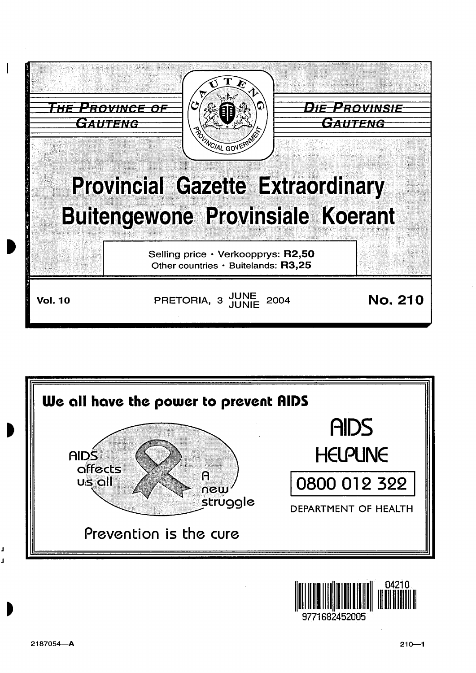





J J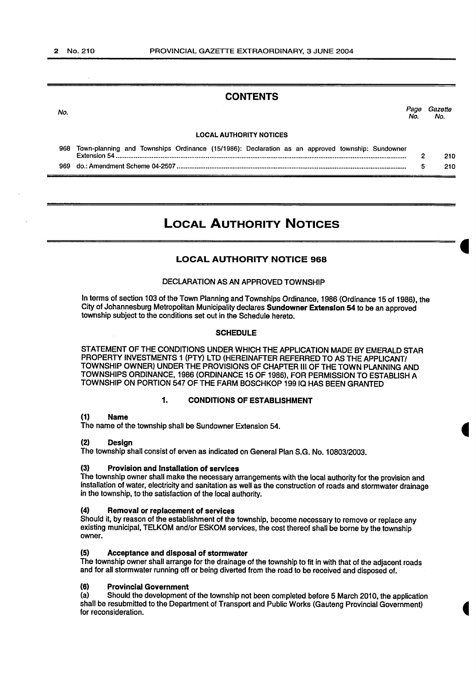## CONTENTS

No. Page Gazette No. No.

#### LOCAL AUTHORITY NOTICES

968 Town-planning and Townships Ordinance (15/1986): Declaration as an approved township: Sundowner Extension 54.................................................................................................................................................................. 2 210 969 do.: Amendment Scheme 04-2507 ................................................................................................................................ 5 210

## LOCAL AUTHORITY NOTICES

#### LOCAL AUTHORITY NOTICE 968

#### DECLARATION AS AN APPROVED TOWNSHIP

In terms of section 103 of the Town Planning and Townships Ordinance, 1986 (Ordinance 15 of 1986), the City of Johannesburg Metropolitan Municipality declares Sundowner Extension 54 to be an approved township subject to the conditions set out in the Schedule hereto.

#### **SCHEDULE**

STATEMENT OF THE CONDITIONS UNDER WHICH THE APPLICATION MADE BY EMERALD STAR PROPERTY INVESTMENTS 1 (PTY) LTD (HEREINAFTER REFERRED TO AS THE APPLICANT/ TOWNSHIP OWNER) UNDER THE PROVISIONS OF CHAPTER Ill OF THE TOWN PLANNING AND TOWNSHIPS ORDINANCE, 1986 (ORDINANCE 15 OF 1986), FOR PERMISSION TO ESTABLISH A TOWNSHIP ON PORTION 547 OF THE FARM BOSCHKOP 19910 HAS BEEN GRANTED

#### 1. CONDITIONS OF ESTABLISHMENT

#### (1) Name

The name of the township shall be Sundowner Extension 54.

#### (2) Design

The township shall consist of erven as indicated on General Plan S.G. No. 10803/2003.

### (3) Provision and Installation of services

The township owner shall make the necessary arrangements with the local authority for the provision and installation of water, electricity and sanitation as well as the construction of roads and stormwater drainage in the township, to the satisfaction of the local authority.

## (4) Removal or replacement of services

Should it, by reason of the establishment of the township, become necessary to remove or replace any existing municipal, TELKOM and/or ESKOM services, the cost thereof shall be borne by the township owner.

#### (5) Acceptance and disposal of stormwater

The township owner shall arrange for the drainage of the township to fit in with that of the adjacent roads and for all stormwater running off or being diverted from the road to be received and disposed of.

#### (6) Provincial Government

(a) Should the development of the township not been completed before 5 March 2010, the application shall be resubmitted to the Department of Transport and Public Works (Gauteng Provincial Government) for reconsideration.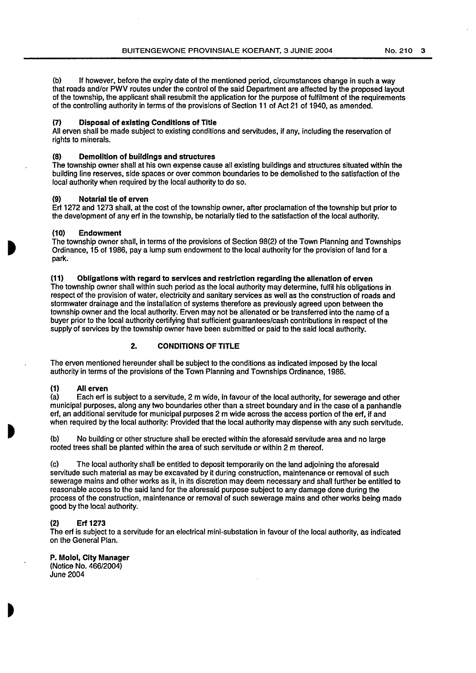(b) If however, before the expiry date of the mentioned period, circumstances change in such a way that roads and/or PWV routes under the control of the said Department are affected by the proposed layout of the township, the applicant shall resubmit the application for the purpose of fulfilment of the requirements of the controlling authority in terms of the provisions of Section 11 of Act 21 of 1940, as amended.

#### (7) Disposal of existing Conditions of Title

All erven shall be made subject to existing conditions and servitudes, if any, including the reservation of rights to minerals.

#### {8) Demolition of buildings and structures

The township owner shall at his own expense cause all existing buildings and structures situated within the building line reserves, side spaces or over common boundaries to be demolished to the satisfaction of the local authority when required by the local authority to do so.

#### (9) Notarial tie of erven

Erf 1272 and 1273 shall, at the cost of the township owner, after proclamation of the township but prior to the development of any erf in the township, be notarially tied to the satisfaction of the local authority.

#### (10) Endowment

The township owner shall, in terms of the provisions of Section 98(2) of the Town Planning and Townships Ordinance, 15 of 1986, pay a lump sum endowment to the local authority for the provision of land for a park.

#### (11) Obligations with regard to services and restriction regarding the alienation of erven

The township owner shall within such period as the local authority may determine, fulfil his obligations in respect of the provision of water, electricity and sanitary services as well as the construction of roads and stormwater drainage and the installation of systems therefore as previously agreed upon between the township owner and the local authority. Erven may not be alienated or be transferred into the name of a buyer prior to the local authority certifying that sufficient guarantees/cash contributions in respect of the supply of services by the township owner have been submitted or paid to the said local authority.

## 2. CONDITIONS OF TITLE

The erven mentioned hereunder shall be subject to the conditions as indicated imposed by the local authority in terms of the provisions of the Town Planning and Townships Ordinance, 1986.

## (1) All erven

(a) Each erf is subject to a servitude, 2 m wide, in favour of the local authority, for sewerage and other municipal purposes, along any two boundaries other than a street boundary and in the case of a panhandle erf, an additional servitude for municipal purposes 2 m wide across the access portion of the erf, if and when required by the local authority: Provided that the local authority may dispense with any such servitude.

(b) No building or other structure shall be erected within the aforesaid servitude area and no large rooted trees shall be planted within the area of such servitude or within 2 m thereof.

(c) The local authority shall be entitled to deposit temporarily on the land adjoining the aforesaid servitude such material as may be excavated by it during construction, maintenance or removal of such sewerage mains and other works as it, in its discretion may deem necessary and shall further be entitled to reasonable access to the said land for the aforesaid purpose subject to any damage done during the process of the construction, maintenance or removal of such sewerage mains and other works being made good by the local authority.

## (2) Erf 1273

The erf is subject to a servitude for an electrical mini-substation in favour of the local authority, as indicated on the General Plan.

P. Molol, City Manager

(Notice No. 466/2004) June 2004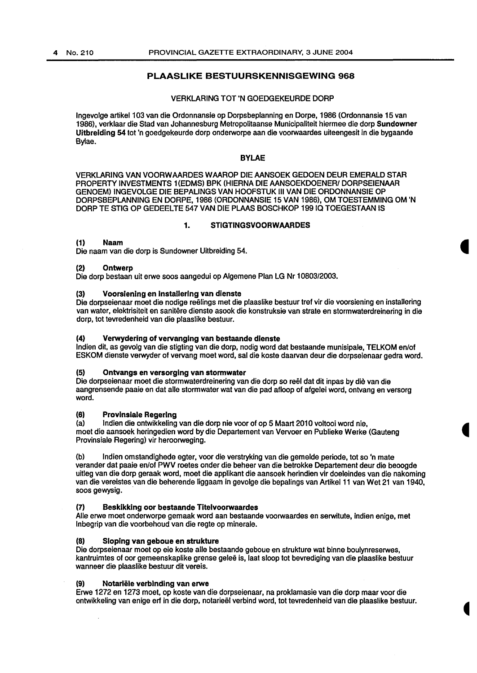## PLAASLIKE BESTUURSKENNISGEWING 968

#### VERKLARING TOT 'N GOEDGEKEURDE DORP

lngevolge artikel1 03 van die Ordonnansie op Dorpsbeplanning en Dorpe, 1986 (Ordonnansie 15 van 1986), verklaar die Stad van Johannesburg Metropolitaanse Municipaliteit hiermee die dorp Sundowner Uitbreiding 54 tot 'n goedgekeurde dorp onderworpe aan die voorwaardes uiteengesit in die bygaande Bylae.

#### BYLAE

VERKLARING VAN VOORW AARDES W AAROP DIE AANSOEK GEDOEN DEUR EMERALD STAR PROPERTY INVESTMENTS 1 (EDMS) BPK (HIERNA DIE AANSOEKDOENER/ DORPSEIENAAR GENOEM) INGEVOLGE DIE BEPALINGS VAN HOOFSTUK Ill VAN DIE ORDONNANSIE OP DORPSBEPLANNING EN DORPE, 1986 (ORDONNANSIE 15 VAN 1986), OM TOESTEMMING OM 'N DORP TE STIG OP GEDEELTE 547 VAN DIE PLAAS BOSCHKOP 19910 TOEGESTAAN IS

#### 1. STIGTINGSVOORWAARDES

#### (1) Naam

Die naam van die dorp is Sundowner Uitbreiding 54.

#### (2) Ontwerp

Die dorp bestaan uit erwe soos aangedui op Algemene Plan LG Nr 1 0803/2003.

#### (3) Voorslenlng en lnstallerlng van dienste

Die dorpseienaar moet die nodige reelings met die plaaslike bestuur tref vir die voorsiening en installering van water, elektrisiteit en sanitêre dienste asook die konstruksie van strate en stormwaterdreinering in die dorp, tot tevredenheid van die plaaslike bestuur.

#### (4) Verwydering of vervanging van bestaande dlenste

Indien dit, as gevolg van die stigting van die dorp, nodig word dat bestaande munisipale, TELKOM en/of ESKOM dienste verwyder of vervang moet word, sal die koste daarvan deur die dorpseienaar gedra word.

#### (5) Ontvangs en versorglng van stormwater

Die dorpseienaar moet die stormwaterdreinering van die dorp so reel dat dit inpas by die van die aangrensende paaie en dat aile stormwater wat van die pad afloop of afgelei word, ontvang en versorg word.

#### {6) Provlnslale Regering

(a) Indian die ontwikkeling van die dorp nie voor of op 5 Maart 2010 voltooi word nie, meet die aansoek heringedien word by die Departement van Vervoer en Publieke Werke (Gauteng Provinsiale Regering) vir heroorweging.

(b) lndien omstandighede egter, voor die verstryking van die gemelde periode, tot so 'n mate verander dat paaie en/of PWV roetes onder die beheer van die betrokke Departement deur die beoogde uitleg van die dorp geraak word, moet die applikant die aansoek herindien vir doeleindes van die nakoming van die vereistes van die beherende liggaam in gevolge die bepalings van Artikel 11 van Wet 21 van 1940, soos gewysig.

#### {7) Besklkklng oor bestaande Tltelvoorwaardes

Aile erwe moet onderworpe gemaak word aan bestaande voorwaardes en serwitute, indien enige, met lnbegrip van die voorbehoud van die regte op minerale.

## (8) Sloping van geboue en strukture

Die dorpseienaar moet op eie koste aile bestaande geboue en strukture wat binne boulynreserwes, kantruimtes of oor gemeenskaplike grense gelee is, Jaat sloop tot bevrediging van die plaaslike bestuur wanneer die plaaslike bestuur dit vereis.

## (9) Notariële verbinding van erwe

Erwe 1272 en 1273 moet, op koste van die dorpseienaar, na proklamasie van die dorp maar voor die ontwikkeling van enige erf in die dorp, notarieel verbind word, tot tevredenheid van die plaaslike bestuur.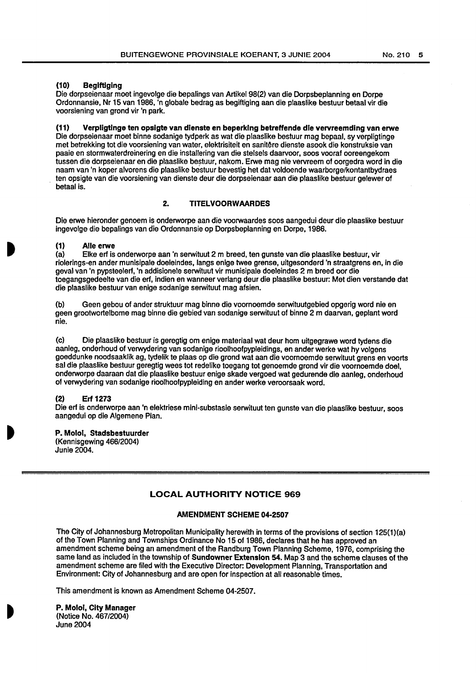### **(10) Beglftiging**

Die dorpseienaar moet ingevolge die bepalings van Artikel 98(2) van die Dorpsbeplanning en Dorpe Ordonnansie, Nr 15 van 1986, 'n globale bedrag as begiftiging aan die plaaslike bestuur betaal vir die voorsiening van grond vir 'n park.

**(11) Verpligtlnge ten opslgte van dlenste en beperklng betreffende die vervreemding van erwe** 

Die dorpseienaar moet binne sodanige tydperk as wat die plaaslike bestuur mag bepaal, sy verpligtinge met betrekking tot die voorsiening van water, elektrisiteit en sanitêre dienste asook die konstruksie van paaie en stormwaterdreinering en die installering van die stelsels daarvoor, soos vooraf ooreengekom tussen die dorpseienaar en die plaaslike bestuur, nakom. Erwe mag nie vervreem of oorgedra word in die naam van 'n koper alvorens die plaaslike bestuur bevestig het dat voldoende waarborge/kontantbydraes ten opsigte van die voorsiening van dienste deur die dorpseienaar aan die plaaslike bestuur gelewer of betaal is.

## **2. TITELVOORWAARDES**

Die erwe hieronder genoem is onderworpe aan die voorwaardes soos aangedui deur die plaaslike bestuur ingevolge die bepalings van die Ordonnansie op Dorpsbeplanning en Dorpe, 1986.

#### **(1) Aile erwe**

(a) Elke erf is onderworpe aan 'n serwituut 2 m breed, ten gunste van die plaaslike bestuur, vir riolerings-en ander munisipale doeleindes, fangs enige twee grense, uitgesonderd 'n straatgrens en, in die geval van 'n pypsteelerf, 'n addisionele serwituut vir munisipale doeleindes 2 m breed oor die toegangsgedeelte van die erf, indien en wanneer verlang deur die plaaslike bestuur: Met dien verstande dat die plaaslike bestuur van enige sodanige serwituut mag afsien.

(b) Geen gebou of ander struktuur mag binne die voomoemde serwituutgebied opgerig word nie en geen grootwortelbome mag binne die gebied van sodanige serwituut of binne 2 m daarvan, geplant word nie.

(c) Die plaaslike bestuur is geregtig om enige materiaal wat deur hom uitgegrawe word tydens die aanleg, onderhoud of verwydering van sodanige rioolhoofpypleidings, en ander werke wat hy volgens goeddunke noodsaaklik ag, tydelik te plaas op die grand wat aan die voornoemde serwituut grens en voorts sal die plaaslike bestuur geregtig wees tot redelike toegang tot genoemde grond vir die voornoemde doel. onderworpe daaraan dat die plaaslike bestuur enige skade vergoed wat gedurende die aanleg, onderhoud of verwydering van sodanige rioolhoofpypleiding en ander werke veroorsaak word.

#### **(2) Erf 1273**

Die erf is onderworpe aan 'n elektriese mini-substasie serwituut ten gunste van die plaaslike bestuur, soos aangedui op die Algemene Plan.

## **P. Molot, Stadsbestuurder**

(Kennisgewing 466/2004) Junie 2004.

## **LOCAL AUTHORITY NOTICE 969**

#### **AMENDMENT SCHEME 04-2507**

The City of Johannesburg Metropolitan Municipality herewith in terms of the provisions of section 125(1 )(a) of the Town Planning and Townships Ordinance No 15 of 1986, declares that he has approved an amendment scheme being an amendment of the Randburg Town Planning Scheme, 1976, comprising the same land as included in the township of **Sundowner Extension 54.** Map 3 and the scheme clauses of the amendment scheme are filed with the Executive Director: Development Planning, Transportation and Environment: City of Johannesburg and are open for inspection at all reasonable times.

This amendment is known as Amendment Scheme 04-2507.

**P. Molot, City Manager**  (Notice No. 467/2004) June 2004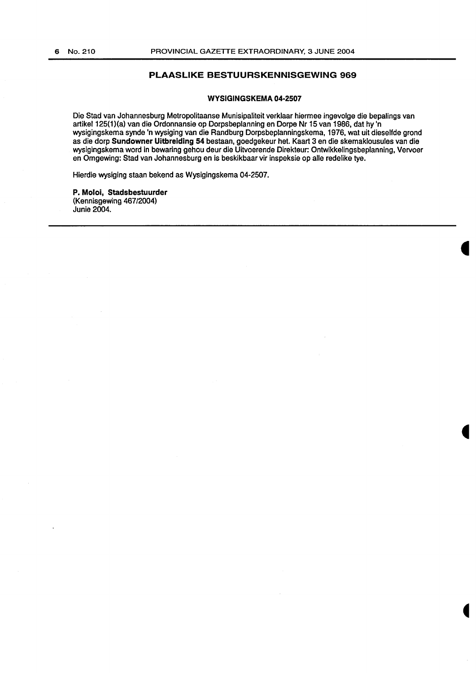## **PLAASLIKE BESTUURSKENNISGEWING 969**

#### **WYSIGINGSKEMA 04-2507**

Die Stad van Johannesburg Metropolitaanse Munisipaliteit verklaar hiermee ingevolge die bepalings van artikel 125(1)(a) van die Ordonnansie op Dorpsbeplanning en Dorpe Nr 15 van 1986, dat hy 'n wysigingskema synde 'n wysiging van die Randburg Dorpsbeplanningskema, 1976, wat uit dieselfde grond as die dorp **Sundowner Uitbreiding 54** bestaan, goedgekeur het. Kaart 3 en die skemaklousules van die wysigingskema word in bewaring gehou deur die Uitvoerende Direkteur: Ontwikkelingsbeplanning, Vervoer en Omgewing: Stad van Johannesburg en is beskikbaar vir inspeksie op aile redelike tye.

Hierdie wysiging staan bekend as Wysigingskema 04-2507.

**P. Moloi, Stadsbestuurder**  (Kennisgewing 467/2004) Junie 2004.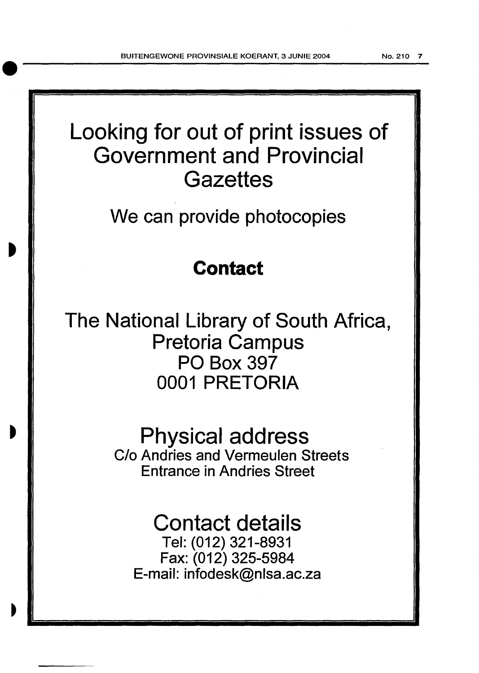## Looking for out of print issues of Government and Provincial **Gazettes**

We can provide photocopies

## **Contact**

The National Library of South Africa, Pretoria Campus PO Box 397 0001 PRETORIA

> Physical address C/o Andries and Vermeulen Streets Entrance in Andries Street

# Contact details

Tel: (012) 321-8931 Fax: (012) 325-5984 E-mail: infodesk@nlsa.ac.za